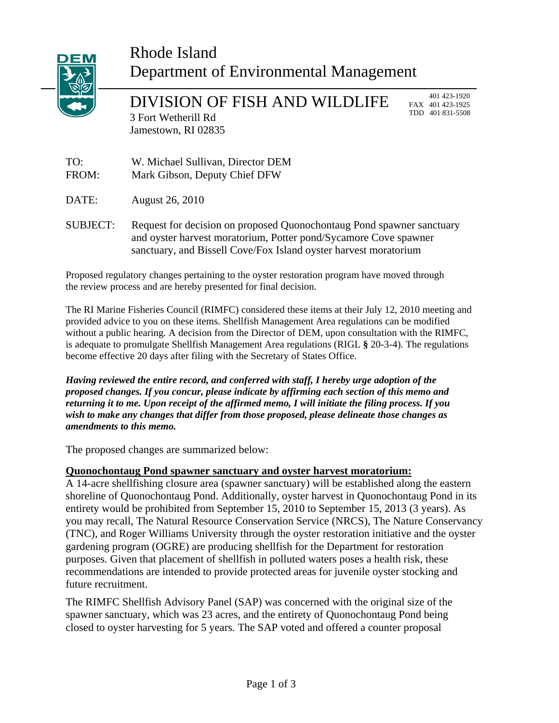

# Rhode Island Department of Environmental Management

DIVISION OF FISH AND WILDLIFE 3 Fort Wetherill Rd Jamestown, RI 02835

 401 423-1920 FAX 401 423-1925 TDD 401 831-5508

TO: W. Michael Sullivan, Director DEM FROM: Mark Gibson, Deputy Chief DFW

DATE: August 26, 2010

SUBJECT: Request for decision on proposed Quonochontaug Pond spawner sanctuary and oyster harvest moratorium, Potter pond/Sycamore Cove spawner sanctuary, and Bissell Cove/Fox Island oyster harvest moratorium

Proposed regulatory changes pertaining to the oyster restoration program have moved through the review process and are hereby presented for final decision.

The RI Marine Fisheries Council (RIMFC) considered these items at their July 12, 2010 meeting and provided advice to you on these items. Shellfish Management Area regulations can be modified without a public hearing. A decision from the Director of DEM, upon consultation with the RIMFC, is adequate to promulgate Shellfish Management Area regulations (RIGL **§** 20-3-4). The regulations become effective 20 days after filing with the Secretary of States Office.

*Having reviewed the entire record, and conferred with staff, I hereby urge adoption of the proposed changes. If you concur, please indicate by affirming each section of this memo and returning it to me. Upon receipt of the affirmed memo, I will initiate the filing process. If you wish to make any changes that differ from those proposed, please delineate those changes as amendments to this memo.* 

The proposed changes are summarized below:

## **Quonochontaug Pond spawner sanctuary and oyster harvest moratorium:**

A 14-acre shellfishing closure area (spawner sanctuary) will be established along the eastern shoreline of Quonochontaug Pond. Additionally, oyster harvest in Quonochontaug Pond in its entirety would be prohibited from September 15, 2010 to September 15, 2013 (3 years). As you may recall, The Natural Resource Conservation Service (NRCS), The Nature Conservancy (TNC), and Roger Williams University through the oyster restoration initiative and the oyster gardening program (OGRE) are producing shellfish for the Department for restoration purposes. Given that placement of shellfish in polluted waters poses a health risk, these recommendations are intended to provide protected areas for juvenile oyster stocking and future recruitment.

The RIMFC Shellfish Advisory Panel (SAP) was concerned with the original size of the spawner sanctuary, which was 23 acres, and the entirety of Quonochontaug Pond being closed to oyster harvesting for 5 years. The SAP voted and offered a counter proposal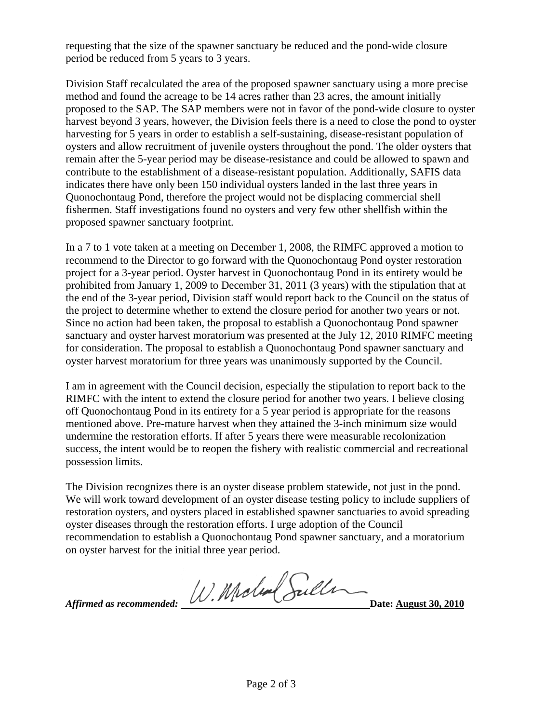requesting that the size of the spawner sanctuary be reduced and the pond-wide closure period be reduced from 5 years to 3 years.

Division Staff recalculated the area of the proposed spawner sanctuary using a more precise method and found the acreage to be 14 acres rather than 23 acres, the amount initially proposed to the SAP. The SAP members were not in favor of the pond-wide closure to oyster harvest beyond 3 years, however, the Division feels there is a need to close the pond to oyster harvesting for 5 years in order to establish a self-sustaining, disease-resistant population of oysters and allow recruitment of juvenile oysters throughout the pond. The older oysters that remain after the 5-year period may be disease-resistance and could be allowed to spawn and contribute to the establishment of a disease-resistant population. Additionally, SAFIS data indicates there have only been 150 individual oysters landed in the last three years in Quonochontaug Pond, therefore the project would not be displacing commercial shell fishermen. Staff investigations found no oysters and very few other shellfish within the proposed spawner sanctuary footprint.

In a 7 to 1 vote taken at a meeting on December 1, 2008, the RIMFC approved a motion to recommend to the Director to go forward with the Quonochontaug Pond oyster restoration project for a 3-year period. Oyster harvest in Quonochontaug Pond in its entirety would be prohibited from January 1, 2009 to December 31, 2011 (3 years) with the stipulation that at the end of the 3-year period, Division staff would report back to the Council on the status of the project to determine whether to extend the closure period for another two years or not. Since no action had been taken, the proposal to establish a Quonochontaug Pond spawner sanctuary and oyster harvest moratorium was presented at the July 12, 2010 RIMFC meeting for consideration. The proposal to establish a Quonochontaug Pond spawner sanctuary and oyster harvest moratorium for three years was unanimously supported by the Council.

I am in agreement with the Council decision, especially the stipulation to report back to the RIMFC with the intent to extend the closure period for another two years. I believe closing off Quonochontaug Pond in its entirety for a 5 year period is appropriate for the reasons mentioned above. Pre-mature harvest when they attained the 3-inch minimum size would undermine the restoration efforts. If after 5 years there were measurable recolonization success, the intent would be to reopen the fishery with realistic commercial and recreational possession limits.

The Division recognizes there is an oyster disease problem statewide, not just in the pond. We will work toward development of an oyster disease testing policy to include suppliers of restoration oysters, and oysters placed in established spawner sanctuaries to avoid spreading oyster diseases through the restoration efforts. I urge adoption of the Council recommendation to establish a Quonochontaug Pond spawner sanctuary, and a moratorium on oyster harvest for the initial three year period.

*Affirmed as recommended: W. Moles* Suller Date: <u>August 30, 201</u>0